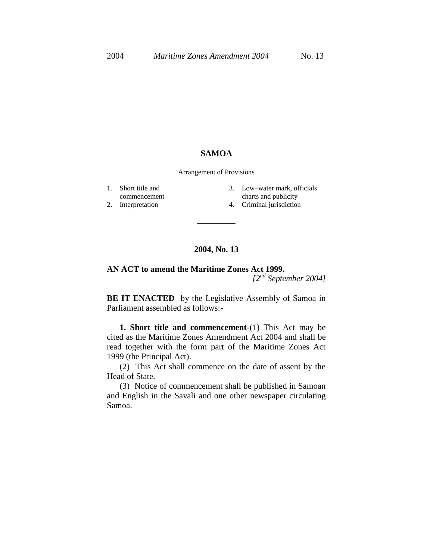## **SAMOA**

Arrangement of Provisions

- 1. Short title and
- commencement
- 2. Interpretation
- 3. Low–water mark, officials charts and publicity
- 4. Criminal jurisdiction

## **2004, No. 13**

\_\_\_\_\_\_\_\_\_

**AN ACT to amend the Maritime Zones Act 1999.** *[2nd September 2004]*

**BE IT ENACTED** by the Legislative Assembly of Samoa in Parliament assembled as follows:-

**1. Short title and commencement**-(1) This Act may be cited as the Maritime Zones Amendment Act 2004 and shall be read together with the form part of the Maritime Zones Act 1999 (the Principal Act).

(2) This Act shall commence on the date of assent by the Head of State.

(3) Notice of commencement shall be published in Samoan and English in the Savali and one other newspaper circulating Samoa.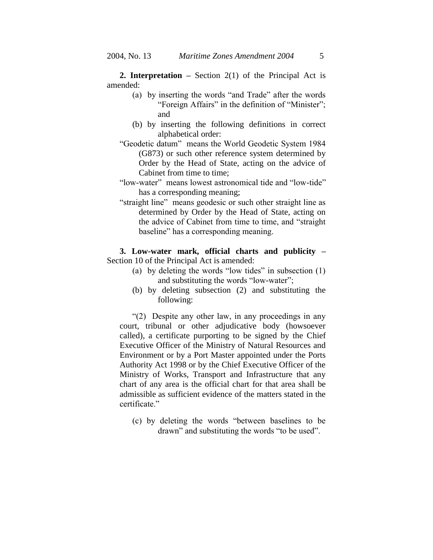**2. Interpretation –** Section 2(1) of the Principal Act is amended:

- (a) by inserting the words "and Trade" after the words "Foreign Affairs" in the definition of "Minister"; and
- (b) by inserting the following definitions in correct alphabetical order:
- "Geodetic datum" means the World Geodetic System 1984 (G873) or such other reference system determined by Order by the Head of State, acting on the advice of Cabinet from time to time;
- "low-water" means lowest astronomical tide and "low-tide" has a corresponding meaning;
- "straight line" means geodesic or such other straight line as determined by Order by the Head of State, acting on the advice of Cabinet from time to time, and "straight baseline" has a corresponding meaning.

**3. Low-water mark, official charts and publicity –** Section 10 of the Principal Act is amended:

- (a) by deleting the words "low tides" in subsection (1) and substituting the words "low-water";
- (b) by deleting subsection (2) and substituting the following:

"(2) Despite any other law, in any proceedings in any court, tribunal or other adjudicative body (howsoever called), a certificate purporting to be signed by the Chief Executive Officer of the Ministry of Natural Resources and Environment or by a Port Master appointed under the Ports Authority Act 1998 or by the Chief Executive Officer of the Ministry of Works, Transport and Infrastructure that any chart of any area is the official chart for that area shall be admissible as sufficient evidence of the matters stated in the certificate."

(c) by deleting the words "between baselines to be drawn" and substituting the words "to be used".